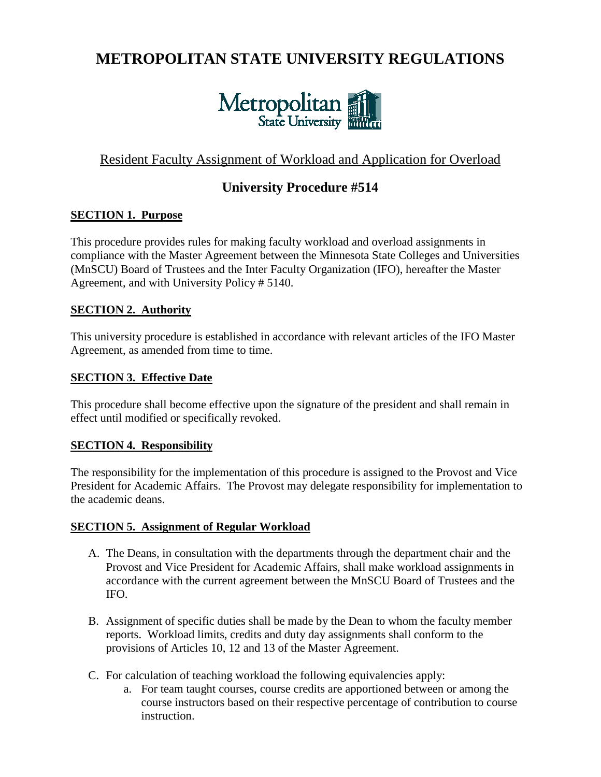# **METROPOLITAN STATE UNIVERSITY REGULATIONS**



# Resident Faculty Assignment of Workload and Application for Overload

# **University Procedure #514**

#### **SECTION 1. Purpose**

This procedure provides rules for making faculty workload and overload assignments in compliance with the Master Agreement between the Minnesota State Colleges and Universities (MnSCU) Board of Trustees and the Inter Faculty Organization (IFO), hereafter the Master Agreement, and with University Policy # 5140.

#### **SECTION 2. Authority**

This university procedure is established in accordance with relevant articles of the IFO Master Agreement, as amended from time to time.

#### **SECTION 3. Effective Date**

This procedure shall become effective upon the signature of the president and shall remain in effect until modified or specifically revoked.

#### **SECTION 4. Responsibility**

The responsibility for the implementation of this procedure is assigned to the Provost and Vice President for Academic Affairs. The Provost may delegate responsibility for implementation to the academic deans.

#### **SECTION 5. Assignment of Regular Workload**

- A. The Deans, in consultation with the departments through the department chair and the Provost and Vice President for Academic Affairs, shall make workload assignments in accordance with the current agreement between the MnSCU Board of Trustees and the IFO.
- B. Assignment of specific duties shall be made by the Dean to whom the faculty member reports. Workload limits, credits and duty day assignments shall conform to the provisions of Articles 10, 12 and 13 of the Master Agreement.
- C. For calculation of teaching workload the following equivalencies apply:
	- a. For team taught courses, course credits are apportioned between or among the course instructors based on their respective percentage of contribution to course instruction.